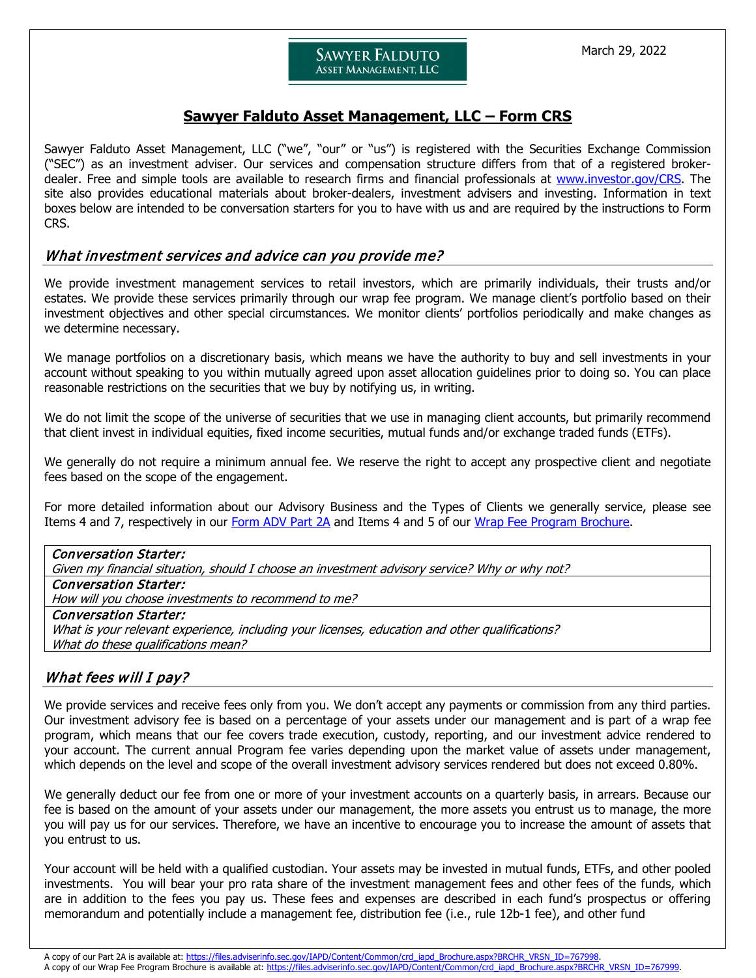# ASSET MANAGEMENT, LLC

**SAWYER FALDUTO** 

# **Sawyer Falduto Asset Management, LLC – Form CRS**

Sawyer Falduto Asset Management, LLC ("we", "our" or "us") is registered with the Securities Exchange Commission ("SEC") as an investment adviser. Our services and compensation structure differs from that of a registered brokerdealer. Free and simple tools are available to research firms and financial professionals at [www.investor.gov/CRS.](http://www.investor.gov/CRS) The site also provides educational materials about broker-dealers, investment advisers and investing. Information in text boxes below are intended to be conversation starters for you to have with us and are required by the instructions to Form CRS.

## What investment services and advice can you provide me?

We provide investment management services to retail investors, which are primarily individuals, their trusts and/or estates. We provide these services primarily through our wrap fee program. We manage client's portfolio based on their investment objectives and other special circumstances. We monitor clients' portfolios periodically and make changes as we determine necessary.

We manage portfolios on a discretionary basis, which means we have the authority to buy and sell investments in your account without speaking to you within mutually agreed upon asset allocation guidelines prior to doing so. You can place reasonable restrictions on the securities that we buy by notifying us, in writing.

We do not limit the scope of the universe of securities that we use in managing client accounts, but primarily recommend that client invest in individual equities, fixed income securities, mutual funds and/or exchange traded funds (ETFs).

We generally do not require a minimum annual fee. We reserve the right to accept any prospective client and negotiate fees based on the scope of the engagement.

For more detailed information about our Advisory Business and the Types of Clients we generally service, please see Items 4 and 7, respectively in our [Form ADV Part 2A](https://files.adviserinfo.sec.gov/IAPD/Content/Common/crd_iapd_Brochure.aspx?BRCHR_VRSN_ID=767998) and Items 4 and 5 of our [Wrap Fee Program Brochure.](https://files.adviserinfo.sec.gov/IAPD/Content/Common/crd_iapd_Brochure.aspx?BRCHR_VRSN_ID=767999)

## Conversation Starter: Given my financial situation, should I choose an investment advisory service? Why or why not? Conversation Starter: How will you choose investments to recommend to me? Conversation Starter: What is your relevant experience, including your licenses, education and other qualifications? What do these qualifications mean?

# What fees will I pay?

We provide services and receive fees only from you. We don't accept any payments or commission from any third parties. Our investment advisory fee is based on a percentage of your assets under our management and is part of a wrap fee program, which means that our fee covers trade execution, custody, reporting, and our investment advice rendered to your account. The current annual Program fee varies depending upon the market value of assets under management, which depends on the level and scope of the overall investment advisory services rendered but does not exceed 0.80%.

We generally deduct our fee from one or more of your investment accounts on a quarterly basis, in arrears. Because our fee is based on the amount of your assets under our management, the more assets you entrust us to manage, the more you will pay us for our services. Therefore, we have an incentive to encourage you to increase the amount of assets that you entrust to us.

Your account will be held with a qualified custodian. Your assets may be invested in mutual funds, ETFs, and other pooled investments. You will bear your pro rata share of the investment management fees and other fees of the funds, which are in addition to the fees you pay us. These fees and expenses are described in each fund's prospectus or offering memorandum and potentially include a management fee, distribution fee (i.e., rule 12b-1 fee), and other fund